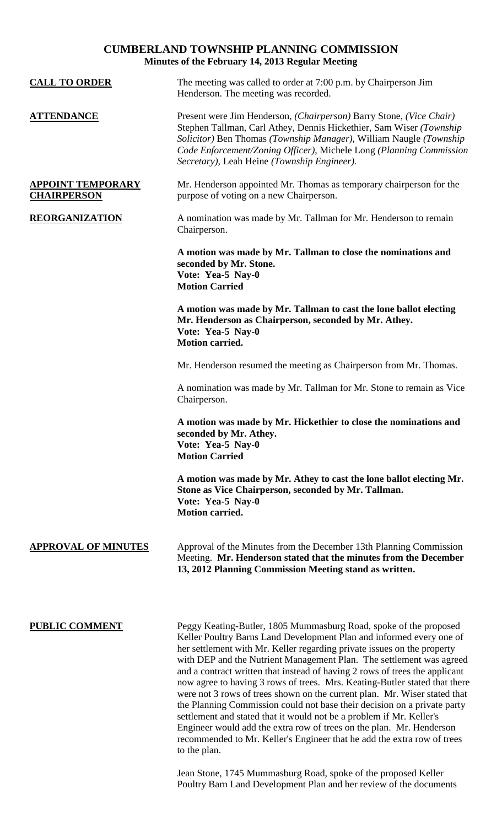# **CUMBERLAND TOWNSHIP PLANNING COMMISSION Minutes of the February 14, 2013 Regular Meeting**

| <b>CALL TO ORDER</b>                           | The meeting was called to order at 7:00 p.m. by Chairperson Jim<br>Henderson. The meeting was recorded.                                                                                                                                                                                                                                                                                                                                                                                                                                                                                                                                                                                    |
|------------------------------------------------|--------------------------------------------------------------------------------------------------------------------------------------------------------------------------------------------------------------------------------------------------------------------------------------------------------------------------------------------------------------------------------------------------------------------------------------------------------------------------------------------------------------------------------------------------------------------------------------------------------------------------------------------------------------------------------------------|
| <b>ATTENDANCE</b>                              | Present were Jim Henderson, (Chairperson) Barry Stone, (Vice Chair)<br>Stephen Tallman, Carl Athey, Dennis Hickethier, Sam Wiser (Township<br>Solicitor) Ben Thomas (Township Manager), William Naugle (Township<br>Code Enforcement/Zoning Officer), Michele Long (Planning Commission<br>Secretary), Leah Heine (Township Engineer).                                                                                                                                                                                                                                                                                                                                                     |
| <b>APPOINT TEMPORARY</b><br><b>CHAIRPERSON</b> | Mr. Henderson appointed Mr. Thomas as temporary chairperson for the<br>purpose of voting on a new Chairperson.                                                                                                                                                                                                                                                                                                                                                                                                                                                                                                                                                                             |
| <b>REORGANIZATION</b>                          | A nomination was made by Mr. Tallman for Mr. Henderson to remain<br>Chairperson.                                                                                                                                                                                                                                                                                                                                                                                                                                                                                                                                                                                                           |
|                                                | A motion was made by Mr. Tallman to close the nominations and<br>seconded by Mr. Stone.<br>Vote: Yea-5 Nay-0<br><b>Motion Carried</b>                                                                                                                                                                                                                                                                                                                                                                                                                                                                                                                                                      |
|                                                | A motion was made by Mr. Tallman to cast the lone ballot electing<br>Mr. Henderson as Chairperson, seconded by Mr. Athey.<br>Vote: Yea-5 Nay-0<br><b>Motion carried.</b>                                                                                                                                                                                                                                                                                                                                                                                                                                                                                                                   |
|                                                | Mr. Henderson resumed the meeting as Chairperson from Mr. Thomas.                                                                                                                                                                                                                                                                                                                                                                                                                                                                                                                                                                                                                          |
|                                                | A nomination was made by Mr. Tallman for Mr. Stone to remain as Vice<br>Chairperson.                                                                                                                                                                                                                                                                                                                                                                                                                                                                                                                                                                                                       |
|                                                | A motion was made by Mr. Hickethier to close the nominations and<br>seconded by Mr. Athey.<br>Vote: Yea-5 Nay-0<br><b>Motion Carried</b>                                                                                                                                                                                                                                                                                                                                                                                                                                                                                                                                                   |
|                                                | A motion was made by Mr. Athey to cast the lone ballot electing Mr.<br>Stone as Vice Chairperson, seconded by Mr. Tallman.<br>Vote: Yea-5 Nay-0<br><b>Motion carried.</b>                                                                                                                                                                                                                                                                                                                                                                                                                                                                                                                  |
| <b>APPROVAL OF MINUTES</b>                     | Approval of the Minutes from the December 13th Planning Commission<br>Meeting. Mr. Henderson stated that the minutes from the December<br>13, 2012 Planning Commission Meeting stand as written.                                                                                                                                                                                                                                                                                                                                                                                                                                                                                           |
| <b>PUBLIC COMMENT</b>                          | Peggy Keating-Butler, 1805 Mummasburg Road, spoke of the proposed<br>Keller Poultry Barns Land Development Plan and informed every one of<br>her settlement with Mr. Keller regarding private issues on the property<br>with DEP and the Nutrient Management Plan. The settlement was agreed<br>and a contract written that instead of having 2 rows of trees the applicant<br>now agree to having 3 rows of trees. Mrs. Keating-Butler stated that there<br>were not 3 rows of trees shown on the current plan. Mr. Wiser stated that<br>the Planning Commission could not base their decision on a private party<br>settlement and stated that it would not be a problem if Mr. Keller's |

Engineer would add the extra row of trees on the plan. Mr. Henderson recommended to Mr. Keller's Engineer that he add the extra row of trees to the plan.

Jean Stone, 1745 Mummasburg Road, spoke of the proposed Keller Poultry Barn Land Development Plan and her review of the documents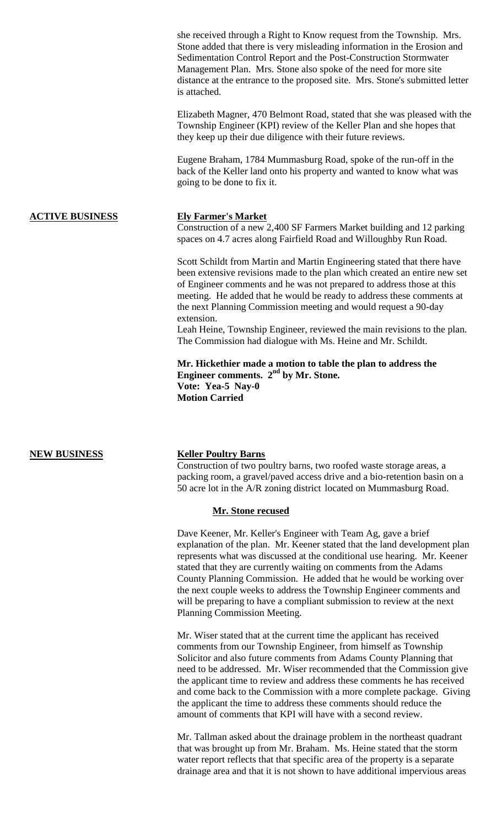she received through a Right to Know request from the Township. Mrs. Stone added that there is very misleading information in the Erosion and Sedimentation Control Report and the Post-Construction Stormwater Management Plan. Mrs. Stone also spoke of the need for more site distance at the entrance to the proposed site. Mrs. Stone's submitted letter is attached.

Elizabeth Magner, 470 Belmont Road, stated that she was pleased with the Township Engineer (KPI) review of the Keller Plan and she hopes that they keep up their due diligence with their future reviews.

Eugene Braham, 1784 Mummasburg Road, spoke of the run-off in the back of the Keller land onto his property and wanted to know what was going to be done to fix it.

## **ACTIVE BUSINESS Ely Farmer's Market**

Construction of a new 2,400 SF Farmers Market building and 12 parking spaces on 4.7 acres along Fairfield Road and Willoughby Run Road.

Scott Schildt from Martin and Martin Engineering stated that there have been extensive revisions made to the plan which created an entire new set of Engineer comments and he was not prepared to address those at this meeting. He added that he would be ready to address these comments at the next Planning Commission meeting and would request a 90-day extension.

Leah Heine, Township Engineer, reviewed the main revisions to the plan. The Commission had dialogue with Ms. Heine and Mr. Schildt.

**Mr. Hickethier made a motion to table the plan to address the Engineer comments. 2nd by Mr. Stone. Vote: Yea-5 Nay-0 Motion Carried**

## **NEW BUSINESS Keller Poultry Barns**

Construction of two poultry barns, two roofed waste storage areas, a packing room, a gravel/paved access drive and a bio-retention basin on a 50 acre lot in the A/R zoning district located on Mummasburg Road.

## **Mr. Stone recused**

Dave Keener, Mr. Keller's Engineer with Team Ag, gave a brief explanation of the plan. Mr. Keener stated that the land development plan represents what was discussed at the conditional use hearing. Mr. Keener stated that they are currently waiting on comments from the Adams County Planning Commission. He added that he would be working over the next couple weeks to address the Township Engineer comments and will be preparing to have a compliant submission to review at the next Planning Commission Meeting.

Mr. Wiser stated that at the current time the applicant has received comments from our Township Engineer, from himself as Township Solicitor and also future comments from Adams County Planning that need to be addressed. Mr. Wiser recommended that the Commission give the applicant time to review and address these comments he has received and come back to the Commission with a more complete package. Giving the applicant the time to address these comments should reduce the amount of comments that KPI will have with a second review.

Mr. Tallman asked about the drainage problem in the northeast quadrant that was brought up from Mr. Braham. Ms. Heine stated that the storm water report reflects that that specific area of the property is a separate drainage area and that it is not shown to have additional impervious areas